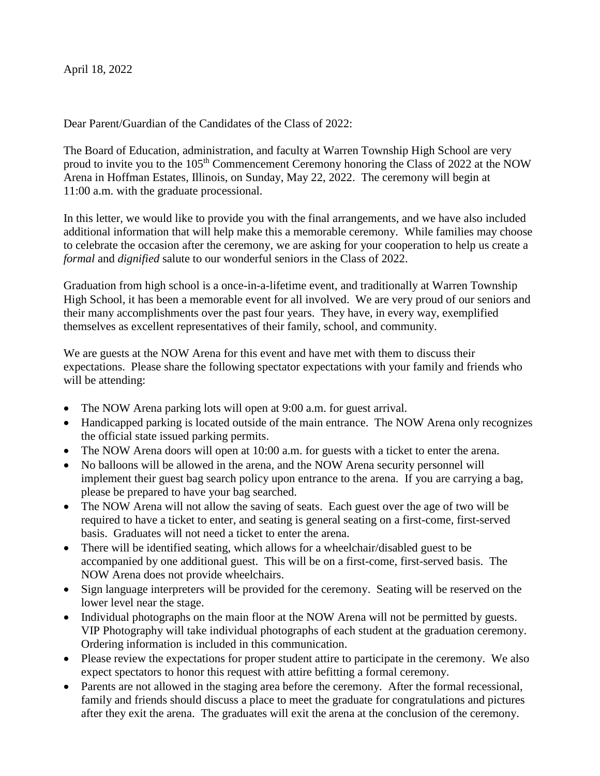April 18, 2022

Dear Parent/Guardian of the Candidates of the Class of 2022:

The Board of Education, administration, and faculty at Warren Township High School are very proud to invite you to the 105<sup>th</sup> Commencement Ceremony honoring the Class of 2022 at the NOW Arena in Hoffman Estates, Illinois, on Sunday, May 22, 2022. The ceremony will begin at 11:00 a.m. with the graduate processional.

In this letter, we would like to provide you with the final arrangements, and we have also included additional information that will help make this a memorable ceremony. While families may choose to celebrate the occasion after the ceremony, we are asking for your cooperation to help us create a *formal* and *dignified* salute to our wonderful seniors in the Class of 2022.

Graduation from high school is a once-in-a-lifetime event, and traditionally at Warren Township High School, it has been a memorable event for all involved. We are very proud of our seniors and their many accomplishments over the past four years. They have, in every way, exemplified themselves as excellent representatives of their family, school, and community.

We are guests at the NOW Arena for this event and have met with them to discuss their expectations. Please share the following spectator expectations with your family and friends who will be attending:

- The NOW Arena parking lots will open at 9:00 a.m. for guest arrival.
- Handicapped parking is located outside of the main entrance. The NOW Arena only recognizes the official state issued parking permits.
- The NOW Arena doors will open at 10:00 a.m. for guests with a ticket to enter the arena.
- No balloons will be allowed in the arena, and the NOW Arena security personnel will implement their guest bag search policy upon entrance to the arena. If you are carrying a bag, please be prepared to have your bag searched.
- The NOW Arena will not allow the saving of seats. Each guest over the age of two will be required to have a ticket to enter, and seating is general seating on a first-come, first-served basis. Graduates will not need a ticket to enter the arena.
- There will be identified seating, which allows for a wheelchair/disabled guest to be accompanied by one additional guest. This will be on a first-come, first-served basis. The NOW Arena does not provide wheelchairs.
- Sign language interpreters will be provided for the ceremony. Seating will be reserved on the lower level near the stage.
- Individual photographs on the main floor at the NOW Arena will not be permitted by guests. VIP Photography will take individual photographs of each student at the graduation ceremony. Ordering information is included in this communication.
- Please review the expectations for proper student attire to participate in the ceremony. We also expect spectators to honor this request with attire befitting a formal ceremony.
- Parents are not allowed in the staging area before the ceremony. After the formal recessional, family and friends should discuss a place to meet the graduate for congratulations and pictures after they exit the arena. The graduates will exit the arena at the conclusion of the ceremony.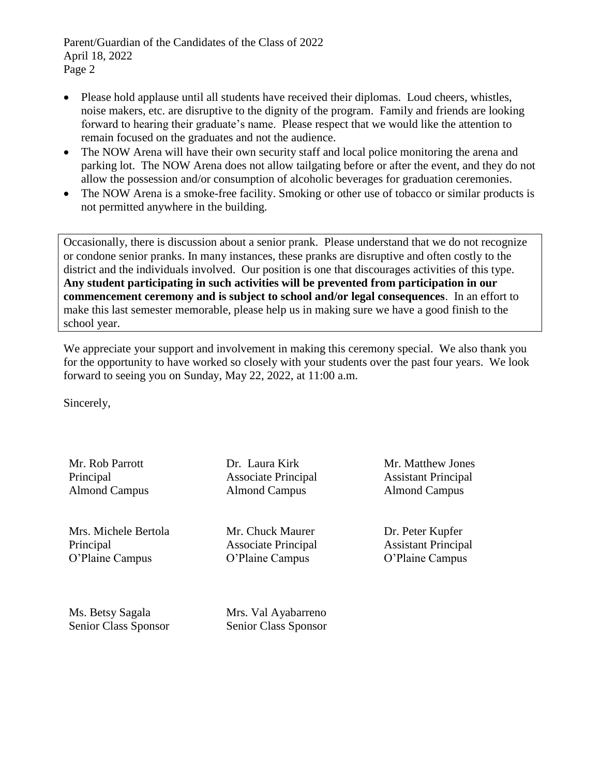Parent/Guardian of the Candidates of the Class of 2022 April 18, 2022 Page 2

- Please hold applause until all students have received their diplomas. Loud cheers, whistles, noise makers, etc. are disruptive to the dignity of the program. Family and friends are looking forward to hearing their graduate's name. Please respect that we would like the attention to remain focused on the graduates and not the audience.
- The NOW Arena will have their own security staff and local police monitoring the arena and parking lot. The NOW Arena does not allow tailgating before or after the event, and they do not allow the possession and/or consumption of alcoholic beverages for graduation ceremonies.
- The NOW Arena is a smoke-free facility. Smoking or other use of tobacco or similar products is not permitted anywhere in the building.

Occasionally, there is discussion about a senior prank. Please understand that we do not recognize or condone senior pranks. In many instances, these pranks are disruptive and often costly to the district and the individuals involved. Our position is one that discourages activities of this type. **Any student participating in such activities will be prevented from participation in our commencement ceremony and is subject to school and/or legal consequences**. In an effort to make this last semester memorable, please help us in making sure we have a good finish to the school year.

We appreciate your support and involvement in making this ceremony special. We also thank you for the opportunity to have worked so closely with your students over the past four years. We look forward to seeing you on Sunday, May 22, 2022, at 11:00 a.m.

Sincerely,

Mr. Rob Parrott Principal Almond Campus

Mrs. Michele Bertola Principal O'Plaine Campus

Dr. Laura Kirk Associate Principal Almond Campus

Mr. Chuck Maurer Associate Principal O'Plaine Campus

Mr. Matthew Jones Assistant Principal Almond Campus

Dr. Peter Kupfer Assistant Principal O'Plaine Campus

Ms. Betsy Sagala Senior Class Sponsor Mrs. Val Ayabarreno Senior Class Sponsor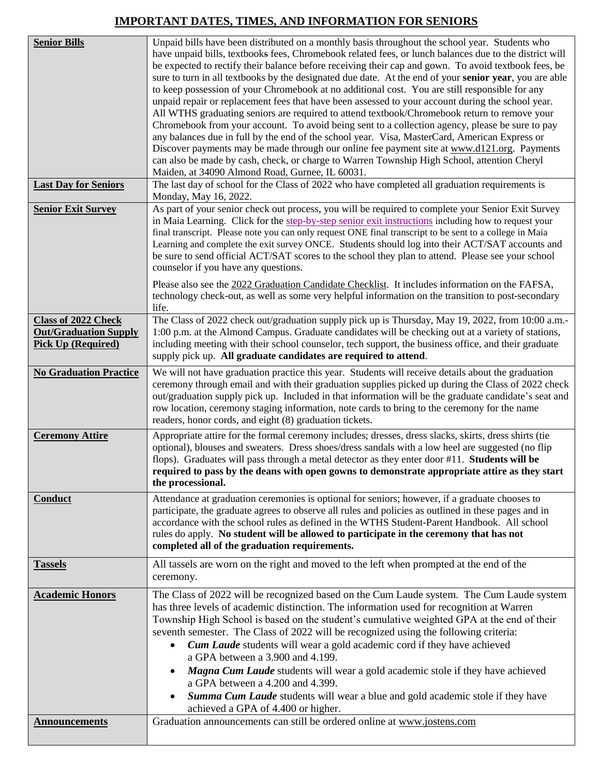## **IMPORTANT DATES, TIMES, AND INFORMATION FOR SENIORS**

| <b>Senior Bills</b>                                                                     | Unpaid bills have been distributed on a monthly basis throughout the school year. Students who<br>have unpaid bills, textbooks fees, Chromebook related fees, or lunch balances due to the district will<br>be expected to rectify their balance before receiving their cap and gown. To avoid textbook fees, be<br>sure to turn in all textbooks by the designated due date. At the end of your senior year, you are able<br>to keep possession of your Chromebook at no additional cost. You are still responsible for any<br>unpaid repair or replacement fees that have been assessed to your account during the school year.<br>All WTHS graduating seniors are required to attend textbook/Chromebook return to remove your<br>Chromebook from your account. To avoid being sent to a collection agency, please be sure to pay<br>any balances due in full by the end of the school year. Visa, MasterCard, American Express or<br>Discover payments may be made through our online fee payment site at www.d121.org. Payments<br>can also be made by cash, check, or charge to Warren Township High School, attention Cheryl<br>Maiden, at 34090 Almond Road, Gurnee, IL 60031. |
|-----------------------------------------------------------------------------------------|----------------------------------------------------------------------------------------------------------------------------------------------------------------------------------------------------------------------------------------------------------------------------------------------------------------------------------------------------------------------------------------------------------------------------------------------------------------------------------------------------------------------------------------------------------------------------------------------------------------------------------------------------------------------------------------------------------------------------------------------------------------------------------------------------------------------------------------------------------------------------------------------------------------------------------------------------------------------------------------------------------------------------------------------------------------------------------------------------------------------------------------------------------------------------------------|
| <b>Last Day for Seniors</b>                                                             | The last day of school for the Class of 2022 who have completed all graduation requirements is<br>Monday, May 16, 2022.                                                                                                                                                                                                                                                                                                                                                                                                                                                                                                                                                                                                                                                                                                                                                                                                                                                                                                                                                                                                                                                                |
| <b>Senior Exit Survey</b>                                                               | As part of your senior check out process, you will be required to complete your Senior Exit Survey<br>in Maia Learning. Click for the step-by-step senior exit instructions including how to request your<br>final transcript. Please note you can only request ONE final transcript to be sent to a college in Maia<br>Learning and complete the exit survey ONCE. Students should log into their ACT/SAT accounts and<br>be sure to send official ACT/SAT scores to the school they plan to attend. Please see your school<br>counselor if you have any questions.<br>Please also see the 2022 Graduation Candidate Checklist. It includes information on the FAFSA,<br>technology check-out, as well as some very helpful information on the transition to post-secondary                                                                                                                                                                                                                                                                                                                                                                                                           |
|                                                                                         | life.                                                                                                                                                                                                                                                                                                                                                                                                                                                                                                                                                                                                                                                                                                                                                                                                                                                                                                                                                                                                                                                                                                                                                                                  |
| <b>Class of 2022 Check</b><br><b>Out/Graduation Supply</b><br><b>Pick Up (Required)</b> | The Class of 2022 check out/graduation supply pick up is Thursday, May 19, 2022, from 10:00 a.m.-<br>1:00 p.m. at the Almond Campus. Graduate candidates will be checking out at a variety of stations,<br>including meeting with their school counselor, tech support, the business office, and their graduate<br>supply pick up. All graduate candidates are required to attend.                                                                                                                                                                                                                                                                                                                                                                                                                                                                                                                                                                                                                                                                                                                                                                                                     |
| <b>No Graduation Practice</b>                                                           | We will not have graduation practice this year. Students will receive details about the graduation<br>ceremony through email and with their graduation supplies picked up during the Class of 2022 check<br>out/graduation supply pick up. Included in that information will be the graduate candidate's seat and<br>row location, ceremony staging information, note cards to bring to the ceremony for the name<br>readers, honor cords, and eight (8) graduation tickets.                                                                                                                                                                                                                                                                                                                                                                                                                                                                                                                                                                                                                                                                                                           |
| <b>Ceremony Attire</b>                                                                  | Appropriate attire for the formal ceremony includes; dresses, dress slacks, skirts, dress shirts (tie<br>optional), blouses and sweaters. Dress shoes/dress sandals with a low heel are suggested (no flip<br>flops). Graduates will pass through a metal detector as they enter door #11. Students will be<br>required to pass by the deans with open gowns to demonstrate appropriate attire as they start<br>the processional.                                                                                                                                                                                                                                                                                                                                                                                                                                                                                                                                                                                                                                                                                                                                                      |
| Conduct                                                                                 | Attendance at graduation ceremonies is optional for seniors; however, if a graduate chooses to<br>participate, the graduate agrees to observe all rules and policies as outlined in these pages and in<br>accordance with the school rules as defined in the WTHS Student-Parent Handbook. All school<br>rules do apply. No student will be allowed to participate in the ceremony that has not<br>completed all of the graduation requirements.                                                                                                                                                                                                                                                                                                                                                                                                                                                                                                                                                                                                                                                                                                                                       |
| <b>Tassels</b>                                                                          | All tassels are worn on the right and moved to the left when prompted at the end of the<br>ceremony.                                                                                                                                                                                                                                                                                                                                                                                                                                                                                                                                                                                                                                                                                                                                                                                                                                                                                                                                                                                                                                                                                   |
| <b>Academic Honors</b>                                                                  | The Class of 2022 will be recognized based on the Cum Laude system. The Cum Laude system<br>has three levels of academic distinction. The information used for recognition at Warren<br>Township High School is based on the student's cumulative weighted GPA at the end of their<br>seventh semester. The Class of 2022 will be recognized using the following criteria:<br><b>Cum Laude</b> students will wear a gold academic cord if they have achieved<br>a GPA between a 3.900 and 4.199.<br>Magna Cum Laude students will wear a gold academic stole if they have achieved<br>$\bullet$<br>a GPA between a 4.200 and 4.399.<br>Summa Cum Laude students will wear a blue and gold academic stole if they have<br>achieved a GPA of 4.400 or higher.                                                                                                                                                                                                                                                                                                                                                                                                                            |
| <b>Announcements</b>                                                                    | Graduation announcements can still be ordered online at www.jostens.com                                                                                                                                                                                                                                                                                                                                                                                                                                                                                                                                                                                                                                                                                                                                                                                                                                                                                                                                                                                                                                                                                                                |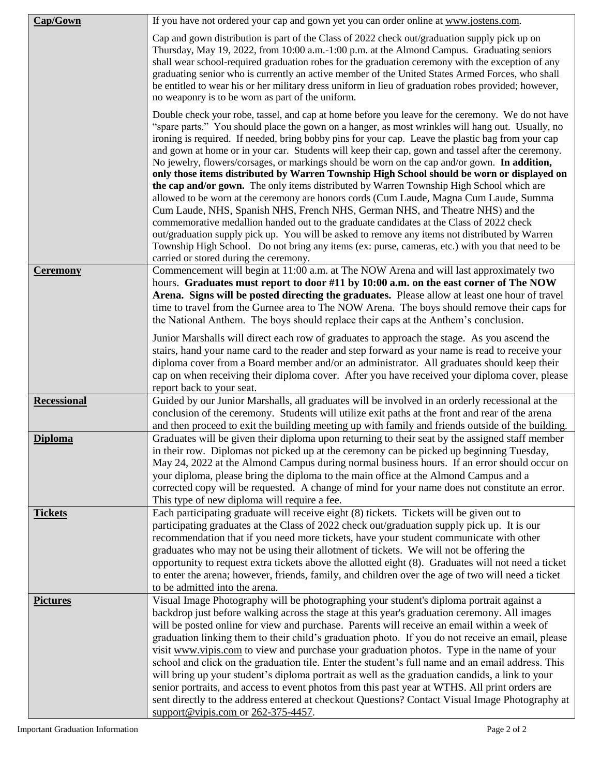| Cap/Gown           | If you have not ordered your cap and gown yet you can order online at www.jostens.com.                                                                                                                                                                                                                                                                                                                                                                                                                                                                                                                                                                                                                                                                                                                                                                                                                                                                                                                                                                                                                                                                                                                                               |
|--------------------|--------------------------------------------------------------------------------------------------------------------------------------------------------------------------------------------------------------------------------------------------------------------------------------------------------------------------------------------------------------------------------------------------------------------------------------------------------------------------------------------------------------------------------------------------------------------------------------------------------------------------------------------------------------------------------------------------------------------------------------------------------------------------------------------------------------------------------------------------------------------------------------------------------------------------------------------------------------------------------------------------------------------------------------------------------------------------------------------------------------------------------------------------------------------------------------------------------------------------------------|
|                    | Cap and gown distribution is part of the Class of 2022 check out/graduation supply pick up on<br>Thursday, May 19, 2022, from 10:00 a.m.-1:00 p.m. at the Almond Campus. Graduating seniors<br>shall wear school-required graduation robes for the graduation ceremony with the exception of any<br>graduating senior who is currently an active member of the United States Armed Forces, who shall<br>be entitled to wear his or her military dress uniform in lieu of graduation robes provided; however,<br>no weaponry is to be worn as part of the uniform.                                                                                                                                                                                                                                                                                                                                                                                                                                                                                                                                                                                                                                                                    |
|                    | Double check your robe, tassel, and cap at home before you leave for the ceremony. We do not have<br>"spare parts." You should place the gown on a hanger, as most wrinkles will hang out. Usually, no<br>ironing is required. If needed, bring bobby pins for your cap. Leave the plastic bag from your cap<br>and gown at home or in your car. Students will keep their cap, gown and tassel after the ceremony.<br>No jewelry, flowers/corsages, or markings should be worn on the cap and/or gown. In addition,<br>only those items distributed by Warren Township High School should be worn or displayed on<br>the cap and/or gown. The only items distributed by Warren Township High School which are<br>allowed to be worn at the ceremony are honors cords (Cum Laude, Magna Cum Laude, Summa<br>Cum Laude, NHS, Spanish NHS, French NHS, German NHS, and Theatre NHS) and the<br>commemorative medallion handed out to the graduate candidates at the Class of 2022 check<br>out/graduation supply pick up. You will be asked to remove any items not distributed by Warren<br>Township High School. Do not bring any items (ex: purse, cameras, etc.) with you that need to be<br>carried or stored during the ceremony. |
| <b>Ceremony</b>    | Commencement will begin at 11:00 a.m. at The NOW Arena and will last approximately two<br>hours. Graduates must report to door #11 by 10:00 a.m. on the east corner of The NOW<br>Arena. Signs will be posted directing the graduates. Please allow at least one hour of travel<br>time to travel from the Gurnee area to The NOW Arena. The boys should remove their caps for<br>the National Anthem. The boys should replace their caps at the Anthem's conclusion.                                                                                                                                                                                                                                                                                                                                                                                                                                                                                                                                                                                                                                                                                                                                                                |
|                    | Junior Marshalls will direct each row of graduates to approach the stage. As you ascend the<br>stairs, hand your name card to the reader and step forward as your name is read to receive your<br>diploma cover from a Board member and/or an administrator. All graduates should keep their<br>cap on when receiving their diploma cover. After you have received your diploma cover, please<br>report back to your seat.                                                                                                                                                                                                                                                                                                                                                                                                                                                                                                                                                                                                                                                                                                                                                                                                           |
| <b>Recessional</b> | Guided by our Junior Marshalls, all graduates will be involved in an orderly recessional at the<br>conclusion of the ceremony. Students will utilize exit paths at the front and rear of the arena<br>and then proceed to exit the building meeting up with family and friends outside of the building.                                                                                                                                                                                                                                                                                                                                                                                                                                                                                                                                                                                                                                                                                                                                                                                                                                                                                                                              |
| <b>Diploma</b>     | Graduates will be given their diploma upon returning to their seat by the assigned staff member<br>in their row. Diplomas not picked up at the ceremony can be picked up beginning Tuesday.<br>May 24, 2022 at the Almond Campus during normal business hours. If an error should occur on<br>your diploma, please bring the diploma to the main office at the Almond Campus and a<br>corrected copy will be requested. A change of mind for your name does not constitute an error.<br>This type of new diploma will require a fee.                                                                                                                                                                                                                                                                                                                                                                                                                                                                                                                                                                                                                                                                                                 |
| <b>Tickets</b>     | Each participating graduate will receive eight (8) tickets. Tickets will be given out to<br>participating graduates at the Class of 2022 check out/graduation supply pick up. It is our<br>recommendation that if you need more tickets, have your student communicate with other<br>graduates who may not be using their allotment of tickets. We will not be offering the<br>opportunity to request extra tickets above the allotted eight (8). Graduates will not need a ticket<br>to enter the arena; however, friends, family, and children over the age of two will need a ticket<br>to be admitted into the arena.                                                                                                                                                                                                                                                                                                                                                                                                                                                                                                                                                                                                            |
| <b>Pictures</b>    | Visual Image Photography will be photographing your student's diploma portrait against a<br>backdrop just before walking across the stage at this year's graduation ceremony. All images<br>will be posted online for view and purchase. Parents will receive an email within a week of<br>graduation linking them to their child's graduation photo. If you do not receive an email, please<br>visit www.vipis.com to view and purchase your graduation photos. Type in the name of your<br>school and click on the graduation tile. Enter the student's full name and an email address. This<br>will bring up your student's diploma portrait as well as the graduation candids, a link to your<br>senior portraits, and access to event photos from this past year at WTHS. All print orders are<br>sent directly to the address entered at checkout Questions? Contact Visual Image Photography at<br>support@vipis.com or $262-375-4457$ .                                                                                                                                                                                                                                                                                      |